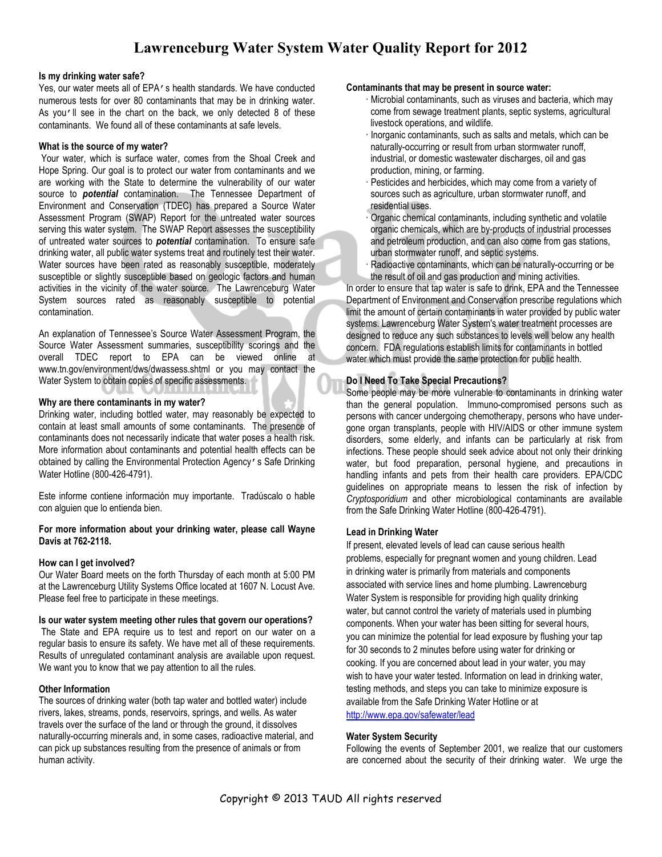# **Lawrenceburg Water System Water Quality Report for 2012**

#### **Is my drinking water safe?**

Yes, our water meets all of EPA's health standards. We have conducted numerous tests for over 80 contaminants that may be in drinking water. As you'll see in the chart on the back, we only detected 8 of these contaminants. We found all of these contaminants at safe levels.

#### **What is the source of my water?**

 Your water, which is surface water, comes from the Shoal Creek and Hope Spring. Our goal is to protect our water from contaminants and we are working with the State to determine the vulnerability of our water source to *potential* contamination. The Tennessee Department of Environment and Conservation (TDEC) has prepared a Source Water Assessment Program (SWAP) Report for the untreated water sources serving this water system. The SWAP Report assesses the susceptibility of untreated water sources to *potential* contamination. To ensure safe drinking water, all public water systems treat and routinely test their water. Water sources have been rated as reasonably susceptible, moderately susceptible or slightly susceptible based on geologic factors and human activities in the vicinity of the water source. The Lawrenceburg Water System sources rated as reasonably susceptible to potential contamination.

An explanation of Tennessee's Source Water Assessment Program, the Source Water Assessment summaries, susceptibility scorings and the overall TDEC report to EPA can be viewed online at www.tn.gov/environment/dws/dwassess.shtml or you may contact the Water System to obtain copies of specific assessments.

#### **Why are there contaminants in my water?**

Drinking water, including bottled water, may reasonably be expected to contain at least small amounts of some contaminants. The presence of contaminants does not necessarily indicate that water poses a health risk. More information about contaminants and potential health effects can be obtained by calling the Environmental Protection Agency's Safe Drinking Water Hotline (800-426-4791).

Este informe contiene información muy importante. Tradúscalo o hable con alguien que lo entienda bien.

#### **For more information about your drinking water, please call Wayne Davis at 762-2118.**

# **How can I get involved?**

Our Water Board meets on the forth Thursday of each month at 5:00 PM at the Lawrenceburg Utility Systems Office located at 1607 N. Locust Ave. Please feel free to participate in these meetings.

#### **Is our water system meeting other rules that govern our operations?**

 The State and EPA require us to test and report on our water on a regular basis to ensure its safety. We have met all of these requirements. Results of unregulated contaminant analysis are available upon request. We want you to know that we pay attention to all the rules.

#### **Other Information**

The sources of drinking water (both tap water and bottled water) include rivers, lakes, streams, ponds, reservoirs, springs, and wells. As water travels over the surface of the land or through the ground, it dissolves naturally-occurring minerals and, in some cases, radioactive material, and can pick up substances resulting from the presence of animals or from human activity.

#### **Contaminants that may be present in source water:**

- Microbial contaminants, such as viruses and bacteria, which may come from sewage treatment plants, septic systems, agricultural livestock operations, and wildlife.
- Inorganic contaminants, such as salts and metals, which can be naturally-occurring or result from urban stormwater runoff, industrial, or domestic wastewater discharges, oil and gas production, mining, or farming.
- Pesticides and herbicides, which may come from a variety of sources such as agriculture, urban stormwater runoff, and residential uses.
- Organic chemical contaminants, including synthetic and volatile organic chemicals, which are by-products of industrial processes and petroleum production, and can also come from gas stations, urban stormwater runoff, and septic systems.
- Radioactive contaminants, which can be naturally-occurring or be the result of oil and gas production and mining activities.

In order to ensure that tap water is safe to drink, EPA and the Tennessee Department of Environment and Conservation prescribe regulations which limit the amount of certain contaminants in water provided by public water systems. Lawrenceburg Water System's water treatment processes are designed to reduce any such substances to levels well below any health concern. FDA regulations establish limits for contaminants in bottled water which must provide the same protection for public health.

# **Do I Need To Take Special Precautions?**

Some people may be more vulnerable to contaminants in drinking water than the general population. Immuno-compromised persons such as persons with cancer undergoing chemotherapy, persons who have undergone organ transplants, people with HIV/AIDS or other immune system disorders, some elderly, and infants can be particularly at risk from infections. These people should seek advice about not only their drinking water, but food preparation, personal hygiene, and precautions in handling infants and pets from their health care providers. EPA/CDC guidelines on appropriate means to lessen the risk of infection by *Cryptosporidium* and other microbiological contaminants are available from the Safe Drinking Water Hotline (800-426-4791).

# **Lead in Drinking Water**

If present, elevated levels of lead can cause serious health problems, especially for pregnant women and young children. Lead in drinking water is primarily from materials and components associated with service lines and home plumbing. Lawrenceburg Water System is responsible for providing high quality drinking water, but cannot control the variety of materials used in plumbing components. When your water has been sitting for several hours, you can minimize the potential for lead exposure by flushing your tap for 30 seconds to 2 minutes before using water for drinking or cooking. If you are concerned about lead in your water, you may wish to have your water tested. Information on lead in drinking water, testing methods, and steps you can take to minimize exposure is available from the Safe Drinking Water Hotline or at http://www.epa.gov/safewater/lead

#### **Water System Security**

Following the events of September 2001, we realize that our customers are concerned about the security of their drinking water. We urge the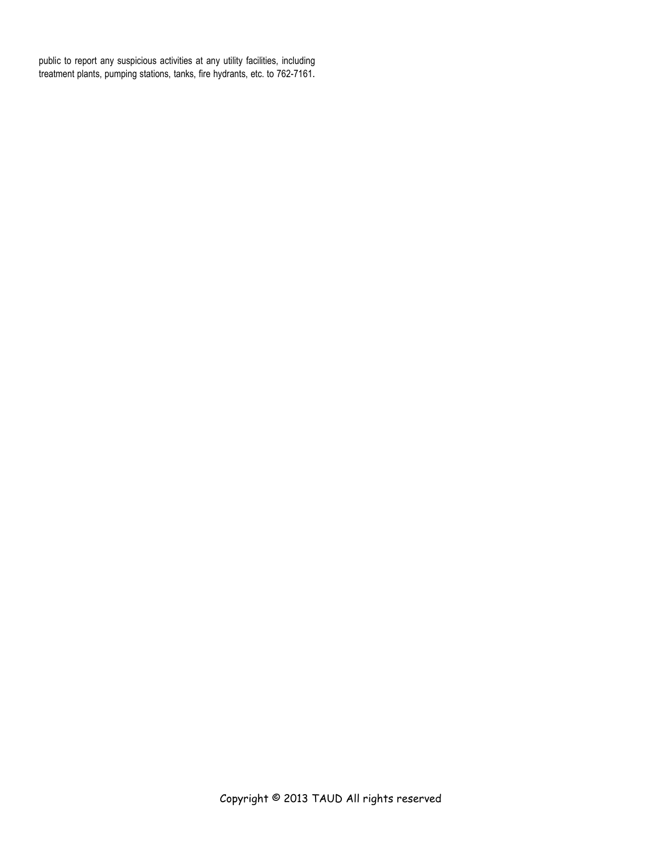public to report any suspicious activities at any utility facilities, including treatment plants, pumping stations, tanks, fire hydrants, etc. to 762-7161.